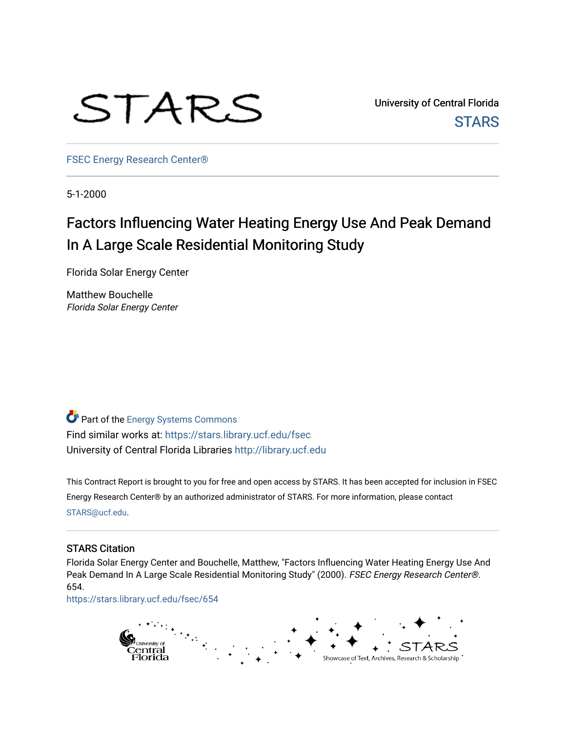

University of Central Florida **STARS** 

[FSEC Energy Research Center®](https://stars.library.ucf.edu/fsec) 

5-1-2000

# Factors Influencing Water Heating Energy Use And Peak Demand In A Large Scale Residential Monitoring Study

Florida Solar Energy Center

Matthew Bouchelle Florida Solar Energy Center

Part of the [Energy Systems Commons](http://network.bepress.com/hgg/discipline/299?utm_source=stars.library.ucf.edu%2Ffsec%2F654&utm_medium=PDF&utm_campaign=PDFCoverPages)  Find similar works at: <https://stars.library.ucf.edu/fsec> University of Central Florida Libraries [http://library.ucf.edu](http://library.ucf.edu/) 

This Contract Report is brought to you for free and open access by STARS. It has been accepted for inclusion in FSEC Energy Research Center® by an authorized administrator of STARS. For more information, please contact [STARS@ucf.edu](mailto:STARS@ucf.edu).

#### STARS Citation

Florida Solar Energy Center and Bouchelle, Matthew, "Factors Influencing Water Heating Energy Use And Peak Demand In A Large Scale Residential Monitoring Study" (2000). FSEC Energy Research Center®. 654.

[https://stars.library.ucf.edu/fsec/654](https://stars.library.ucf.edu/fsec/654?utm_source=stars.library.ucf.edu%2Ffsec%2F654&utm_medium=PDF&utm_campaign=PDFCoverPages)

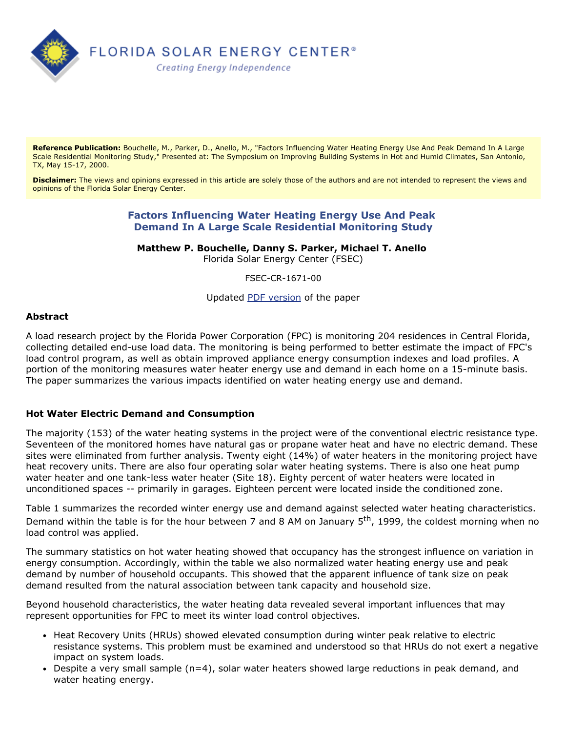

**Reference Publication:** Bouchelle, M., Parker, D., Anello, M., "Factors Influencing Water Heating Energy Use And Peak Demand In A Large Scale Residential Monitoring Study," Presented at: The Symposium on Improving Building Systems in Hot and Humid Climates, San Antonio, TX, May 15-17, 2000.

**Disclaimer:** The views and opinions expressed in this article are solely those of the authors and are not intended to represent the views and opinions of the Florida Solar Energy Center.

# **Factors Influencing Water Heating Energy Use And Peak Demand In A Large Scale Residential Monitoring Study**

**Matthew P. Bouchelle, Danny S. Parker, Michael T. Anello** 

Florida Solar Energy Center (FSEC)

FSEC-CR-1671-00

Updated [PDF version](http://www.fsec.ucf.edu/en/publications/html/FSEC-CR-1671-00/dhw_dp_jm1.pdf) of the paper

#### **Abstract**

A load research project by the Florida Power Corporation (FPC) is monitoring 204 residences in Central Florida, collecting detailed end-use load data. The monitoring is being performed to better estimate the impact of FPC's load control program, as well as obtain improved appliance energy consumption indexes and load profiles. A portion of the monitoring measures water heater energy use and demand in each home on a 15-minute basis. The paper summarizes the various impacts identified on water heating energy use and demand.

#### **Hot Water Electric Demand and Consumption**

The majority (153) of the water heating systems in the project were of the conventional electric resistance type. Seventeen of the monitored homes have natural gas or propane water heat and have no electric demand. These sites were eliminated from further analysis. Twenty eight (14%) of water heaters in the monitoring project have heat recovery units. There are also four operating solar water heating systems. There is also one heat pump water heater and one tank-less water heater (Site 18). Eighty percent of water heaters were located in unconditioned spaces -- primarily in garages. Eighteen percent were located inside the conditioned zone.

Table 1 summarizes the recorded winter energy use and demand against selected water heating characteristics. Demand within the table is for the hour between 7 and 8 AM on January 5<sup>th</sup>, 1999, the coldest morning when no load control was applied.

The summary statistics on hot water heating showed that occupancy has the strongest influence on variation in energy consumption. Accordingly, within the table we also normalized water heating energy use and peak demand by number of household occupants. This showed that the apparent influence of tank size on peak demand resulted from the natural association between tank capacity and household size.

Beyond household characteristics, the water heating data revealed several important influences that may represent opportunities for FPC to meet its winter load control objectives.

- Heat Recovery Units (HRUs) showed elevated consumption during winter peak relative to electric resistance systems. This problem must be examined and understood so that HRUs do not exert a negative impact on system loads.
- Despite a very small sample  $(n=4)$ , solar water heaters showed large reductions in peak demand, and water heating energy.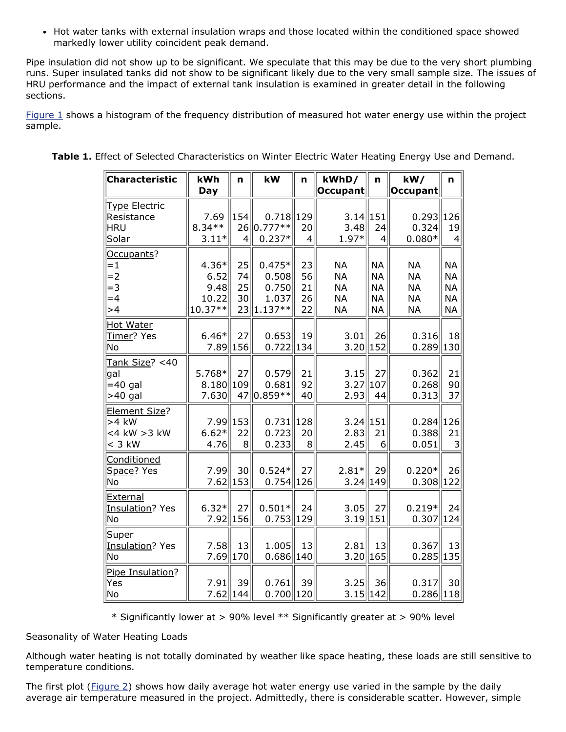• Hot water tanks with external insulation wraps and those located within the conditioned space showed markedly lower utility coincident peak demand.

Pipe insulation did not show up to be significant. We speculate that this may be due to the very short plumbing runs. Super insulated tanks did not show to be significant likely due to the very small sample size. The issues of HRU performance and the impact of external tank insulation is examined in greater detail in the following sections.

[Figure 1](http://www.fsec.ucf.edu/en/publications/html/FSEC-CR-1671-00/images/water-1.html) shows a histogram of the frequency distribution of measured hot water energy use within the project sample.

| <b>Characteristic</b>  | kWh        | n   | kW            | n               | kWhD/        | n                | kW/             | n              |
|------------------------|------------|-----|---------------|-----------------|--------------|------------------|-----------------|----------------|
|                        | <b>Day</b> |     |               |                 | Occupant     |                  | <b>Occupant</b> |                |
| Type Electric          |            |     |               |                 |              |                  |                 |                |
| Resistance             | 7.69       | 154 | $0.718$   129 |                 | $3.14$   151 |                  | 0.293           | 126            |
| HRU                    | $8.34**$   | 26  | $ 0.777**$    | 20              | 3.48         | 24               | 0.324           | 19             |
| Solar                  | $3.11*$    | 4   | $0.237*$      | $\vert 4 \vert$ | 1.97*        | $\overline{4}$   | $0.080*$        | $\overline{4}$ |
| Occupants?             |            |     |               |                 |              |                  |                 |                |
| $=1$                   | $4.36*$    | 25  | $0.475*$      | 23              | <b>NA</b>    | <b>NA</b>        | <b>NA</b>       | <b>NA</b>      |
| $=2$                   | 6.52       | 74  | 0.508         | 56              | <b>NA</b>    | <b>NA</b>        | <b>NA</b>       | <b>NA</b>      |
| $= 3$                  | 9.48       | 25  | 0.750         | 21              | <b>NA</b>    | <b>NA</b>        | <b>NA</b>       | <b>NA</b>      |
| $=4$                   | 10.22      | 30  | 1.037         | 26              | <b>NA</b>    | <b>NA</b>        | <b>NA</b>       | <b>NA</b>      |
| >4                     | 10.37**    | 23  | $1.137**$     | 22              | <b>NA</b>    | <b>NA</b>        | <b>NA</b>       | <b>NA</b>      |
| <b>Hot Water</b>       |            |     |               |                 |              |                  |                 |                |
| Timer? Yes             | $6.46*$    | 27  | 0.653         | 19              | 3.01         | 26               | 0.316           | 18             |
| No                     | 7.89       | 156 | $0.722$   134 |                 | $3.20$   152 |                  | 0.289           | 130            |
| Tank Size? <40         |            |     |               |                 |              |                  |                 |                |
| lgal                   | 5.768*     | 27  | 0.579         | 21              | 3.15         | 27               | 0.362           | 21             |
| $= 40$ gal             | 8.180      | 109 | 0.681         | 92              | 3.27         | $\parallel$ 107  | 0.268           | 90             |
| $>40$ gal              | 7.630      | 47  | $ 0.859**$    | 40              | 2.93         | 44               | 0.313           | 37             |
| Element Size?          |            |     |               |                 |              |                  |                 |                |
| $>4$ kW                | 7.99       | 153 | $0.731$   128 |                 | $3.24$   151 |                  | 0.284           | 126            |
| <4 kW >3 kW            | $6.62*$    | 22  | 0.723         | 20              | 2.83         | 21               | 0.388           | 21             |
| $<$ 3 kW               | 4.76       | 8   | 0.233         | 8 <sup>1</sup>  | 2.45         | $6 \overline{6}$ | 0.051           | 3              |
| Conditioned            |            |     |               |                 |              |                  |                 |                |
| Space? Yes             | 7.99       | 30  | $0.524*$      | 27              | $2.81*$      | 29               | $0.220*$        | 26             |
| No                     | 7.62       | 153 | $0.754$   126 |                 | $3.24$ 149   |                  | 0.308           | 122            |
| External               |            |     |               |                 |              |                  |                 |                |
| <b>Insulation? Yes</b> | $6.32*$    | 27  | $0.501*$      | 24              | 3.05         | 27               | $0.219*$        | 24             |
| No                     | 7.92 156   |     | 0.753  129    |                 | $3.19$   151 |                  | $0.307$   124   |                |
| Super                  |            |     |               |                 |              |                  |                 |                |
| Insulation? Yes        | 7.58       | 13  | 1.005         | 13              | 2.81         | 13               | 0.367           | 13             |
| No                     | 7.69       | 170 | $0.686$   140 |                 | $3.20\ 165$  |                  | 0.285           | 135            |
| Pipe Insulation?       |            |     |               |                 |              |                  |                 |                |
| Yes                    | 7.91       | 39  | 0.761         | 39              | 3.25         | 36               | 0.317           | 30             |
| No                     | 7.62       | 144 | $0.700$   120 |                 | $3.15$   142 |                  | 0.286           | 118            |

| Table 1. Effect of Selected Characteristics on Winter Electric Water Heating Energy Use and Demand. |  |  |  |
|-----------------------------------------------------------------------------------------------------|--|--|--|
|                                                                                                     |  |  |  |

\* Significantly lower at > 90% level \*\* Significantly greater at > 90% level

#### Seasonality of Water Heating Loads

Although water heating is not totally dominated by weather like space heating, these loads are still sensitive to temperature conditions.

The first plot ([Figure 2](http://www.fsec.ucf.edu/en/publications/html/FSEC-CR-1671-00/images/water-2.html)) shows how daily average hot water energy use varied in the sample by the daily average air temperature measured in the project. Admittedly, there is considerable scatter. However, simple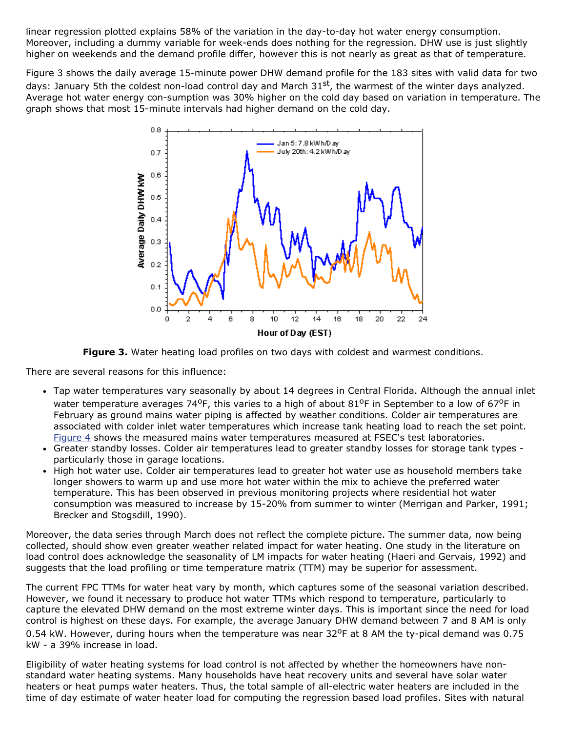linear regression plotted explains 58% of the variation in the day-to-day hot water energy consumption. Moreover, including a dummy variable for week-ends does nothing for the regression. DHW use is just slightly higher on weekends and the demand profile differ, however this is not nearly as great as that of temperature.

Figure 3 shows the daily average 15-minute power DHW demand profile for the 183 sites with valid data for two days: January 5th the coldest non-load control day and March 31st, the warmest of the winter days analyzed. Average hot water energy con-sumption was 30% higher on the cold day based on variation in temperature. The graph shows that most 15-minute intervals had higher demand on the cold day.



**Figure 3.** Water heating load profiles on two days with coldest and warmest conditions.

There are several reasons for this influence:

- Tap water temperatures vary seasonally by about 14 degrees in Central Florida. Although the annual inlet water temperature averages 74<sup>o</sup>F, this varies to a high of about  $81^{\circ}$ F in September to a low of 67<sup>o</sup>F in February as ground mains water piping is affected by weather conditions. Colder air temperatures are associated with colder inlet water temperatures which increase tank heating load to reach the set point. [Figure 4](http://www.fsec.ucf.edu/en/publications/html/FSEC-CR-1671-00/images/water-4.html) shows the measured mains water temperatures measured at FSEC's test laboratories.
- Greater standby losses. Colder air temperatures lead to greater standby losses for storage tank types particularly those in garage locations.
- High hot water use. Colder air temperatures lead to greater hot water use as household members take longer showers to warm up and use more hot water within the mix to achieve the preferred water temperature. This has been observed in previous monitoring projects where residential hot water consumption was measured to increase by 15-20% from summer to winter (Merrigan and Parker, 1991; Brecker and Stogsdill, 1990).

Moreover, the data series through March does not reflect the complete picture. The summer data, now being collected, should show even greater weather related impact for water heating. One study in the literature on load control does acknowledge the seasonality of LM impacts for water heating (Haeri and Gervais, 1992) and suggests that the load profiling or time temperature matrix (TTM) may be superior for assessment.

The current FPC TTMs for water heat vary by month, which captures some of the seasonal variation described. However, we found it necessary to produce hot water TTMs which respond to temperature, particularly to capture the elevated DHW demand on the most extreme winter days. This is important since the need for load control is highest on these days. For example, the average January DHW demand between 7 and 8 AM is only 0.54 kW. However, during hours when the temperature was near  $32^{\circ}$ F at 8 AM the ty-pical demand was 0.75 kW - a 39% increase in load.

Eligibility of water heating systems for load control is not affected by whether the homeowners have nonstandard water heating systems. Many households have heat recovery units and several have solar water heaters or heat pumps water heaters. Thus, the total sample of all-electric water heaters are included in the time of day estimate of water heater load for computing the regression based load profiles. Sites with natural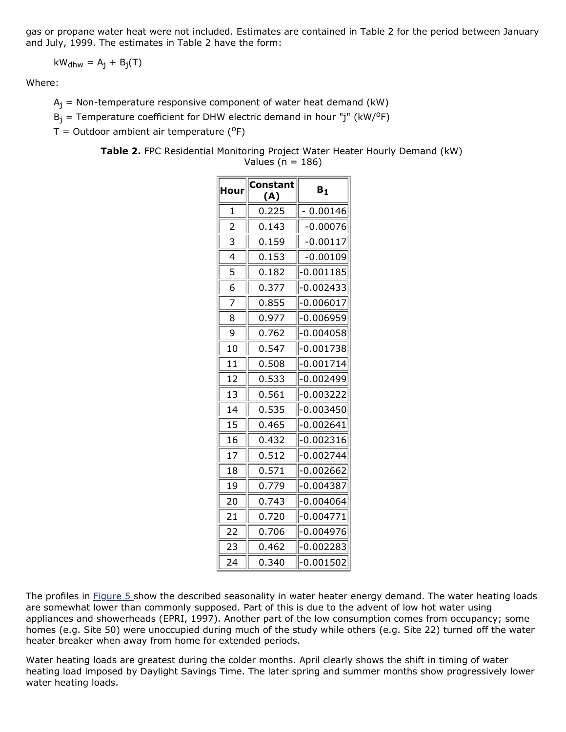gas or propane water heat were not included. Estimates are contained in Table 2 for the period between January and July, 1999. The estimates in Table 2 have the form:

$$
kW_{\text{dhw}} = A_j + B_j(T)
$$

Where:

 $A_i$  = Non-temperature responsive component of water heat demand (kW)

 $B_i$  = Temperature coefficient for DHW electric demand in hour "j" (kW/<sup>o</sup>F)

 $T =$  Outdoor ambient air temperature ( $^{\circ}$ F)

**Table 2.** FPC Residential Monitoring Project Water Heater Hourly Demand (kW)

Values ( $n = 186$ )

| Hour           | Constant<br>(A) | $B_{1}$     |  |
|----------------|-----------------|-------------|--|
| 1              | 0.225           | 0.00146     |  |
| $\overline{2}$ | 0.143           | $-0.00076$  |  |
| 3              | 0.159           | $-0.00117$  |  |
| 4              | 0.153           | $-0.00109$  |  |
| 5              | 0.182           | -0.001185   |  |
| 6              | 0.377           | -0.002433   |  |
| 7              | 0.855           | -0.006017   |  |
| 8              | 0.977           | $-0.006959$ |  |
| 9              | 0.762           | $-0.004058$ |  |
| 10             | 0.547           | $-0.001738$ |  |
| 11             | 0.508           | $-0.001714$ |  |
| 12             | 0.533           | -0.002499   |  |
| 13             | 0.561           | $-0.003222$ |  |
| 14             | 0.535           | -0.003450   |  |
| 15             | 0.465           | $-0.002641$ |  |
| 16             | 0.432           | $-0.002316$ |  |
| 17             | 0.512           | $-0.002744$ |  |
| 18             | 0.571           | -0.002662   |  |
| 19             | 0.779           | $-0.004387$ |  |
| 20             | 0.743           | 0.004064-   |  |
| 21             | 0.720           | 0.004771-   |  |
| 22             | 0.706           | $-0.004976$ |  |
| 23             | 0.462           | $-0.002283$ |  |
| 24             | 0.340           | $-0.001502$ |  |

The profiles in **Figure 5** show the described seasonality in water heater energy demand. The water heating loads are somewhat lower than commonly supposed. Part of this is due to the advent of low hot water using appliances and showerheads (EPRI, 1997). Another part of the low consumption comes from occupancy; some homes (e.g. Site 50) were unoccupied during much of the study while others (e.g. Site 22) turned off the water heater breaker when away from home for extended periods.

Water heating loads are greatest during the colder months. April clearly shows the shift in timing of water heating load imposed by Daylight Savings Time. The later spring and summer months show progressively lower water heating loads.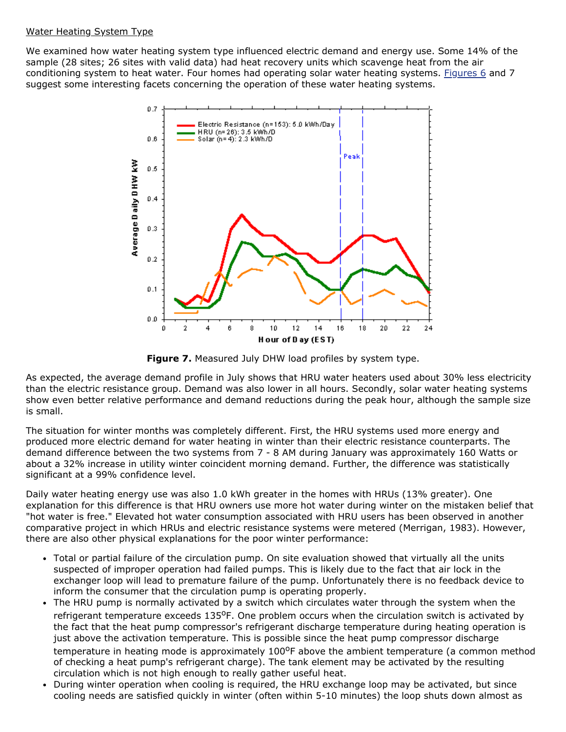## Water Heating System Type

We examined how water heating system type influenced electric demand and energy use. Some 14% of the sample (28 sites; 26 sites with valid data) had heat recovery units which scavenge heat from the air conditioning system to heat water. Four homes had operating solar water heating systems. [Figures 6](http://www.fsec.ucf.edu/en/publications/html/FSEC-CR-1671-00/images/water-6.html) and 7 suggest some interesting facets concerning the operation of these water heating systems.



**Figure 7.** Measured July DHW load profiles by system type.

As expected, the average demand profile in July shows that HRU water heaters used about 30% less electricity than the electric resistance group. Demand was also lower in all hours. Secondly, solar water heating systems show even better relative performance and demand reductions during the peak hour, although the sample size is small.

The situation for winter months was completely different. First, the HRU systems used more energy and produced more electric demand for water heating in winter than their electric resistance counterparts. The demand difference between the two systems from 7 - 8 AM during January was approximately 160 Watts or about a 32% increase in utility winter coincident morning demand. Further, the difference was statistically significant at a 99% confidence level.

Daily water heating energy use was also 1.0 kWh greater in the homes with HRUs (13% greater). One explanation for this difference is that HRU owners use more hot water during winter on the mistaken belief that "hot water is free." Elevated hot water consumption associated with HRU users has been observed in another comparative project in which HRUs and electric resistance systems were metered (Merrigan, 1983). However, there are also other physical explanations for the poor winter performance:

- Total or partial failure of the circulation pump. On site evaluation showed that virtually all the units suspected of improper operation had failed pumps. This is likely due to the fact that air lock in the exchanger loop will lead to premature failure of the pump. Unfortunately there is no feedback device to inform the consumer that the circulation pump is operating properly.
- The HRU pump is normally activated by a switch which circulates water through the system when the refrigerant temperature exceeds  $135^{\circ}$ F. One problem occurs when the circulation switch is activated by the fact that the heat pump compressor's refrigerant discharge temperature during heating operation is just above the activation temperature. This is possible since the heat pump compressor discharge temperature in heating mode is approximately 100<sup>o</sup>F above the ambient temperature (a common method of checking a heat pump's refrigerant charge). The tank element may be activated by the resulting circulation which is not high enough to really gather useful heat.
- During winter operation when cooling is required, the HRU exchange loop may be activated, but since cooling needs are satisfied quickly in winter (often within 5-10 minutes) the loop shuts down almost as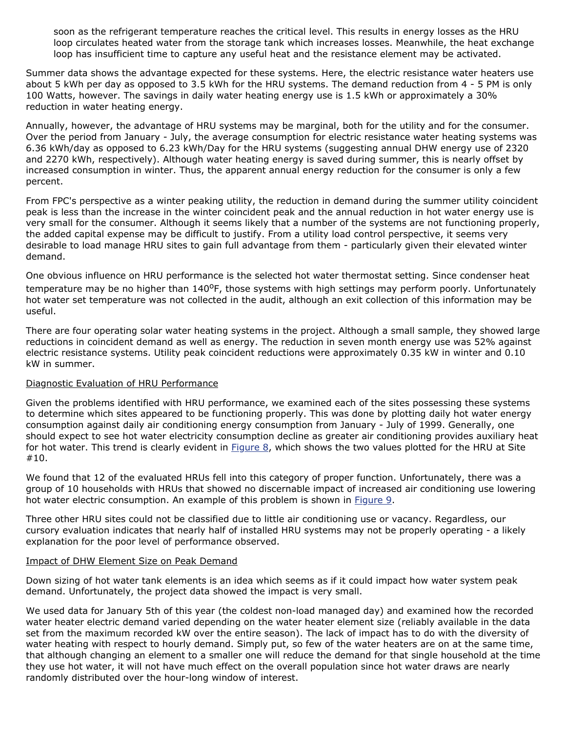soon as the refrigerant temperature reaches the critical level. This results in energy losses as the HRU loop circulates heated water from the storage tank which increases losses. Meanwhile, the heat exchange loop has insufficient time to capture any useful heat and the resistance element may be activated.

Summer data shows the advantage expected for these systems. Here, the electric resistance water heaters use about 5 kWh per day as opposed to 3.5 kWh for the HRU systems. The demand reduction from 4 - 5 PM is only 100 Watts, however. The savings in daily water heating energy use is 1.5 kWh or approximately a 30% reduction in water heating energy.

Annually, however, the advantage of HRU systems may be marginal, both for the utility and for the consumer. Over the period from January - July, the average consumption for electric resistance water heating systems was 6.36 kWh/day as opposed to 6.23 kWh/Day for the HRU systems (suggesting annual DHW energy use of 2320 and 2270 kWh, respectively). Although water heating energy is saved during summer, this is nearly offset by increased consumption in winter. Thus, the apparent annual energy reduction for the consumer is only a few percent.

From FPC's perspective as a winter peaking utility, the reduction in demand during the summer utility coincident peak is less than the increase in the winter coincident peak and the annual reduction in hot water energy use is very small for the consumer. Although it seems likely that a number of the systems are not functioning properly, the added capital expense may be difficult to justify. From a utility load control perspective, it seems very desirable to load manage HRU sites to gain full advantage from them - particularly given their elevated winter demand.

One obvious influence on HRU performance is the selected hot water thermostat setting. Since condenser heat temperature may be no higher than 140°F, those systems with high settings may perform poorly. Unfortunately hot water set temperature was not collected in the audit, although an exit collection of this information may be useful.

There are four operating solar water heating systems in the project. Although a small sample, they showed large reductions in coincident demand as well as energy. The reduction in seven month energy use was 52% against electric resistance systems. Utility peak coincident reductions were approximately 0.35 kW in winter and 0.10 kW in summer.

#### Diagnostic Evaluation of HRU Performance

Given the problems identified with HRU performance, we examined each of the sites possessing these systems to determine which sites appeared to be functioning properly. This was done by plotting daily hot water energy consumption against daily air conditioning energy consumption from January - July of 1999. Generally, one should expect to see hot water electricity consumption decline as greater air conditioning provides auxiliary heat for hot water. This trend is clearly evident in  $Figure 8$ , which shows the two values plotted for the HRU at Site #10.

We found that 12 of the evaluated HRUs fell into this category of proper function. Unfortunately, there was a group of 10 households with HRUs that showed no discernable impact of increased air conditioning use lowering hot water electric consumption. An example of this problem is shown in [Figure 9.](http://www.fsec.ucf.edu/en/publications/html/FSEC-CR-1671-00/images/water-9.html)

Three other HRU sites could not be classified due to little air conditioning use or vacancy. Regardless, our cursory evaluation indicates that nearly half of installed HRU systems may not be properly operating - a likely explanation for the poor level of performance observed.

#### Impact of DHW Element Size on Peak Demand

Down sizing of hot water tank elements is an idea which seems as if it could impact how water system peak demand. Unfortunately, the project data showed the impact is very small.

We used data for January 5th of this year (the coldest non-load managed day) and examined how the recorded water heater electric demand varied depending on the water heater element size (reliably available in the data set from the maximum recorded kW over the entire season). The lack of impact has to do with the diversity of water heating with respect to hourly demand. Simply put, so few of the water heaters are on at the same time, that although changing an element to a smaller one will reduce the demand for that single household at the time they use hot water, it will not have much effect on the overall population since hot water draws are nearly randomly distributed over the hour-long window of interest.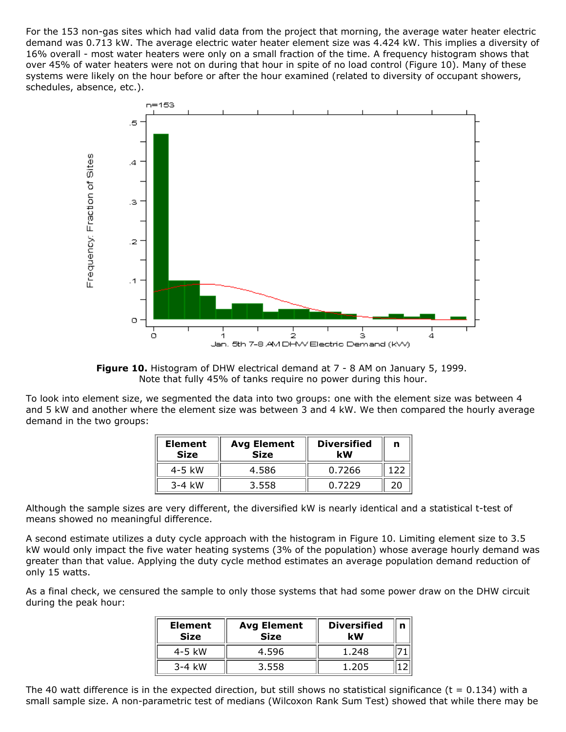For the 153 non-gas sites which had valid data from the project that morning, the average water heater electric demand was 0.713 kW. The average electric water heater element size was 4.424 kW. This implies a diversity of 16% overall - most water heaters were only on a small fraction of the time. A frequency histogram shows that over 45% of water heaters were not on during that hour in spite of no load control (Figure 10). Many of these systems were likely on the hour before or after the hour examined (related to diversity of occupant showers, schedules, absence, etc.).



**Figure 10.** Histogram of DHW electrical demand at 7 - 8 AM on January 5, 1999. Note that fully 45% of tanks require no power during this hour.

To look into element size, we segmented the data into two groups: one with the element size was between 4 and 5 kW and another where the element size was between 3 and 4 kW. We then compared the hourly average demand in the two groups:

| <b>Element</b><br><b>Size</b> | <b>Avg Element</b><br><b>Size</b> | <b>Diversified</b><br>kW | n  |
|-------------------------------|-----------------------------------|--------------------------|----|
| $4-5$ kW                      | 4.586                             | 0.7266                   |    |
| $3-4$ kW                      | 3.558                             | 0.7229                   | ንበ |

Although the sample sizes are very different, the diversified kW is nearly identical and a statistical t-test of means showed no meaningful difference.

A second estimate utilizes a duty cycle approach with the histogram in Figure 10. Limiting element size to 3.5 kW would only impact the five water heating systems (3% of the population) whose average hourly demand was greater than that value. Applying the duty cycle method estimates an average population demand reduction of only 15 watts.

As a final check, we censured the sample to only those systems that had some power draw on the DHW circuit during the peak hour:

| <b>Element</b><br><b>Size</b> | <b>Avg Element</b><br><b>Size</b> | <b>Diversified</b><br>kW |  |
|-------------------------------|-----------------------------------|--------------------------|--|
| $4-5$ kW                      | 4.596                             | 1.248                    |  |
| $3-4$ kW                      | 3.558                             | 1.205                    |  |

The 40 watt difference is in the expected direction, but still shows no statistical significance ( $t = 0.134$ ) with a small sample size. A non-parametric test of medians (Wilcoxon Rank Sum Test) showed that while there may be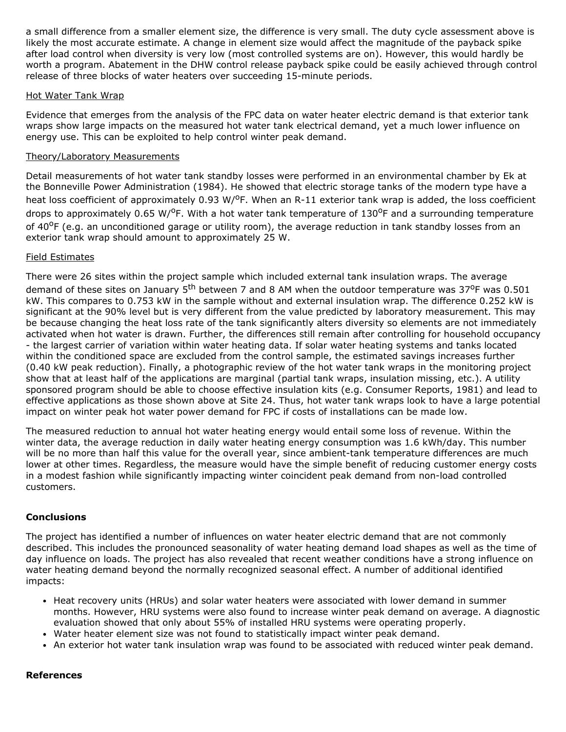a small difference from a smaller element size, the difference is very small. The duty cycle assessment above is likely the most accurate estimate. A change in element size would affect the magnitude of the payback spike after load control when diversity is very low (most controlled systems are on). However, this would hardly be worth a program. Abatement in the DHW control release payback spike could be easily achieved through control release of three blocks of water heaters over succeeding 15-minute periods.

## Hot Water Tank Wrap

Evidence that emerges from the analysis of the FPC data on water heater electric demand is that exterior tank wraps show large impacts on the measured hot water tank electrical demand, yet a much lower influence on energy use. This can be exploited to help control winter peak demand.

## Theory/Laboratory Measurements

Detail measurements of hot water tank standby losses were performed in an environmental chamber by Ek at the Bonneville Power Administration (1984). He showed that electric storage tanks of the modern type have a heat loss coefficient of approximately 0.93 W/<sup>o</sup>F. When an R-11 exterior tank wrap is added, the loss coefficient drops to approximately 0.65 W/<sup>o</sup>F. With a hot water tank temperature of 130<sup>o</sup>F and a surrounding temperature of 40<sup>o</sup>F (e.g. an unconditioned garage or utility room), the average reduction in tank standby losses from an exterior tank wrap should amount to approximately 25 W.

# Field Estimates

There were 26 sites within the project sample which included external tank insulation wraps. The average demand of these sites on January  $5<sup>th</sup>$  between 7 and 8 AM when the outdoor temperature was 37<sup>o</sup>F was 0.501 kW. This compares to 0.753 kW in the sample without and external insulation wrap. The difference 0.252 kW is significant at the 90% level but is very different from the value predicted by laboratory measurement. This may be because changing the heat loss rate of the tank significantly alters diversity so elements are not immediately activated when hot water is drawn. Further, the differences still remain after controlling for household occupancy the largest carrier of variation within water heating data. If solar water heating systems and tanks located within the conditioned space are excluded from the control sample, the estimated savings increases further (0.40 kW peak reduction). Finally, a photographic review of the hot water tank wraps in the monitoring project show that at least half of the applications are marginal (partial tank wraps, insulation missing, etc.). A utility sponsored program should be able to choose effective insulation kits (e.g. Consumer Reports, 1981) and lead to effective applications as those shown above at Site 24. Thus, hot water tank wraps look to have a large potential impact on winter peak hot water power demand for FPC if costs of installations can be made low.

The measured reduction to annual hot water heating energy would entail some loss of revenue. Within the winter data, the average reduction in daily water heating energy consumption was 1.6 kWh/day. This number will be no more than half this value for the overall year, since ambient-tank temperature differences are much lower at other times. Regardless, the measure would have the simple benefit of reducing customer energy costs in a modest fashion while significantly impacting winter coincident peak demand from non-load controlled customers.

# **Conclusions**

The project has identified a number of influences on water heater electric demand that are not commonly described. This includes the pronounced seasonality of water heating demand load shapes as well as the time of day influence on loads. The project has also revealed that recent weather conditions have a strong influence on water heating demand beyond the normally recognized seasonal effect. A number of additional identified impacts:

- Heat recovery units (HRUs) and solar water heaters were associated with lower demand in summer months. However, HRU systems were also found to increase winter peak demand on average. A diagnostic evaluation showed that only about 55% of installed HRU systems were operating properly.
- Water heater element size was not found to statistically impact winter peak demand.
- An exterior hot water tank insulation wrap was found to be associated with reduced winter peak demand.

#### **References**